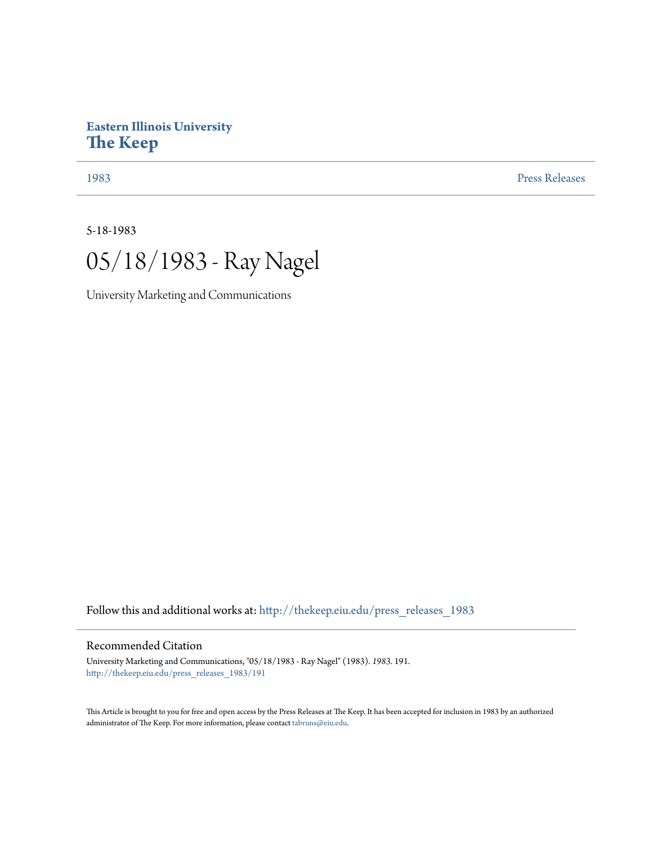## **Eastern Illinois University [The Keep](http://thekeep.eiu.edu?utm_source=thekeep.eiu.edu%2Fpress_releases_1983%2F191&utm_medium=PDF&utm_campaign=PDFCoverPages)**

[1983](http://thekeep.eiu.edu/press_releases_1983?utm_source=thekeep.eiu.edu%2Fpress_releases_1983%2F191&utm_medium=PDF&utm_campaign=PDFCoverPages) [Press Releases](http://thekeep.eiu.edu/press_releases_collection?utm_source=thekeep.eiu.edu%2Fpress_releases_1983%2F191&utm_medium=PDF&utm_campaign=PDFCoverPages)

5-18-1983



University Marketing and Communications

Follow this and additional works at: [http://thekeep.eiu.edu/press\\_releases\\_1983](http://thekeep.eiu.edu/press_releases_1983?utm_source=thekeep.eiu.edu%2Fpress_releases_1983%2F191&utm_medium=PDF&utm_campaign=PDFCoverPages)

## Recommended Citation

University Marketing and Communications, "05/18/1983 - Ray Nagel" (1983). *1983*. 191. [http://thekeep.eiu.edu/press\\_releases\\_1983/191](http://thekeep.eiu.edu/press_releases_1983/191?utm_source=thekeep.eiu.edu%2Fpress_releases_1983%2F191&utm_medium=PDF&utm_campaign=PDFCoverPages)

This Article is brought to you for free and open access by the Press Releases at The Keep. It has been accepted for inclusion in 1983 by an authorized administrator of The Keep. For more information, please contact [tabruns@eiu.edu.](mailto:tabruns@eiu.edu)